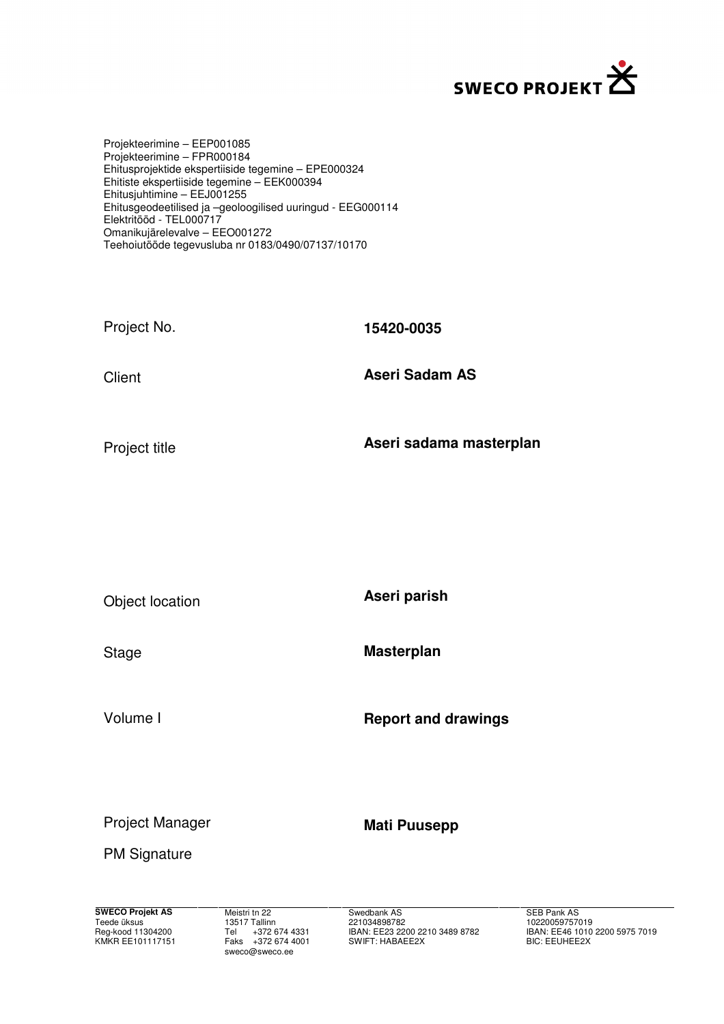

Projekteerimine – EEP001085 Projekteerimine – FPR000184 Ehitusprojektide ekspertiiside tegemine – EPE000324 Ehitiste ekspertiiside tegemine – EEK000394 Ehitusjuhtimine – EEJ001255 Ehitusgeodeetilised ja –geoloogilised uuringud - EEG000114 Elektritööd - TEL000717 Omanikujärelevalve – EEO001272 Teehoiutööde tegevusluba nr 0183/0490/07137/10170

| Project No. | 15420-0035            |
|-------------|-----------------------|
| Client      | <b>Aseri Sadam AS</b> |
|             |                       |

Project title

**Aseri sadama masterplan** 

Object location

Stage

Volume I

**Aseri parish** 

**Masterplan** 

**Report and drawings** 

Project Manager

**Mati Puusepp** 

PM Signature

**SWECO Projekt AS** Teede üksus Reg-kood 11304200 KMKR EE101117151  Meistri tn 22 13517 Tallinn Tel +372 674 4331 Faks +372 674 4001 sweco@sweco.ee

 Swedbank AS 221034898782 IBAN: EE23 2200 2210 3489 8782 SWIFT: HABAEE2X

 SEB Pank AS 10220059757019 IBAN: EE46 1010 2200 5975 7019 BIC: EEUHEE2X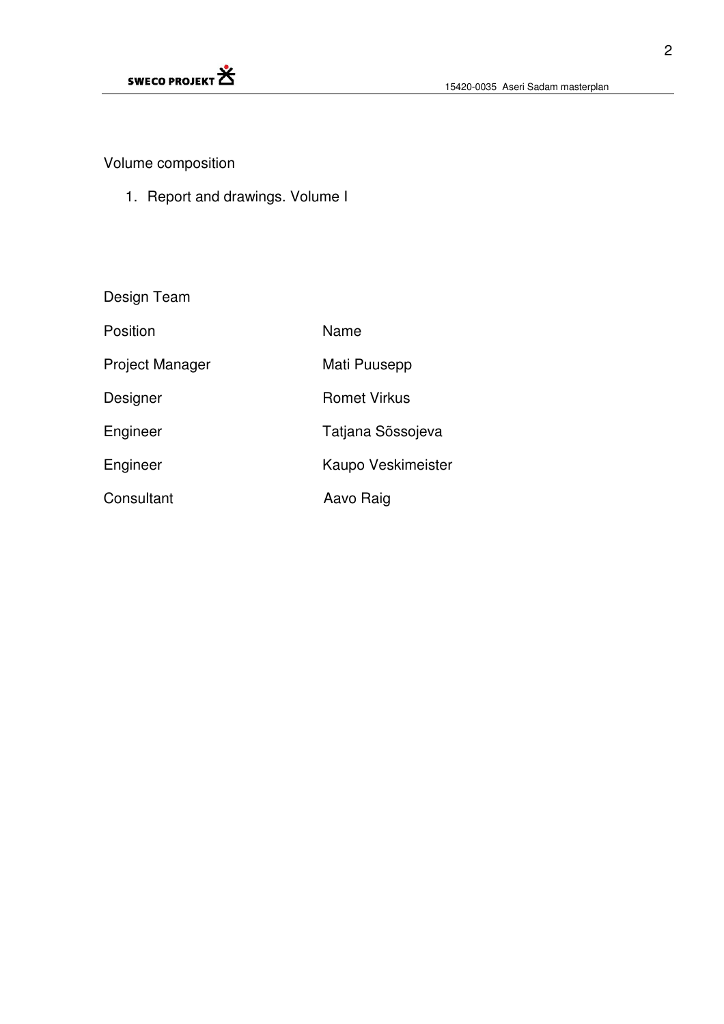

# Volume composition

1. Report and drawings. Volume I

| Design Team            |                     |
|------------------------|---------------------|
| Position               | Name                |
| <b>Project Manager</b> | Mati Puusepp        |
| Designer               | <b>Romet Virkus</b> |
| Engineer               | Tatjana Sõssojeva   |
| Engineer               | Kaupo Veskimeister  |
| Consultant             | Aavo Raig           |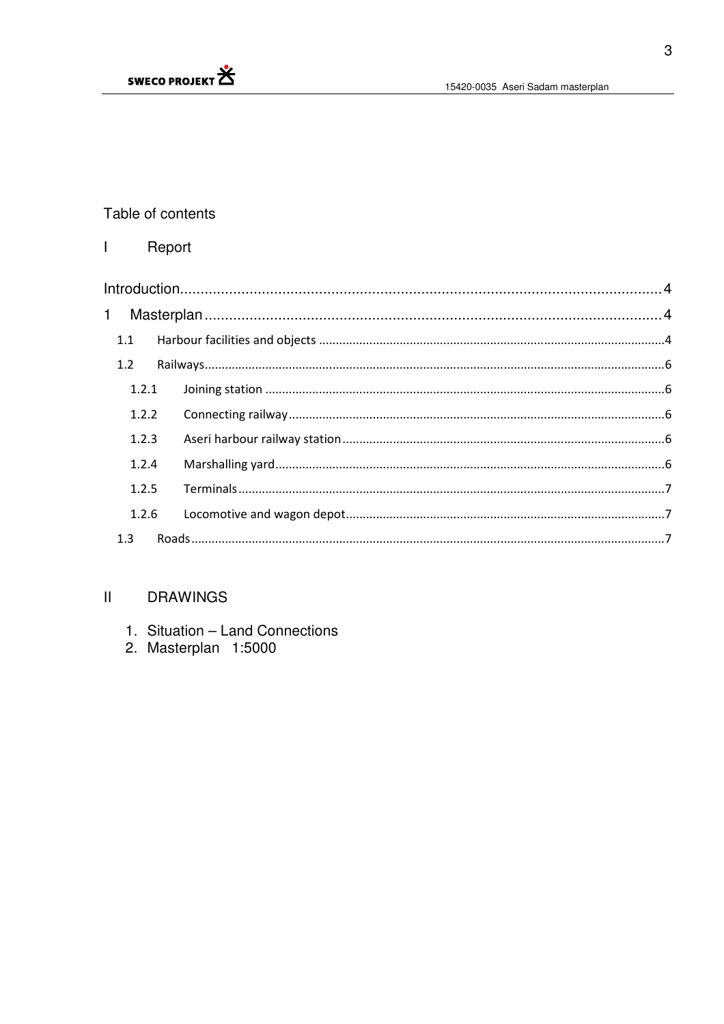

# Table of contents

#### $\overline{1}$ Report

| $\mathbf 1$ |  |  |  |  |  |
|-------------|--|--|--|--|--|
| 1.1         |  |  |  |  |  |
| 1.2         |  |  |  |  |  |
| 1.2.1       |  |  |  |  |  |
| 1.2.2       |  |  |  |  |  |
| 1.2.3       |  |  |  |  |  |
| 1.2.4       |  |  |  |  |  |
| 1.2.5       |  |  |  |  |  |
| 1.2.6       |  |  |  |  |  |
| 1.3         |  |  |  |  |  |

#### $\mathbf{H}^{\top}$ **DRAWINGS**

- 1. Situation Land Connections
- 2. Masterplan 1:5000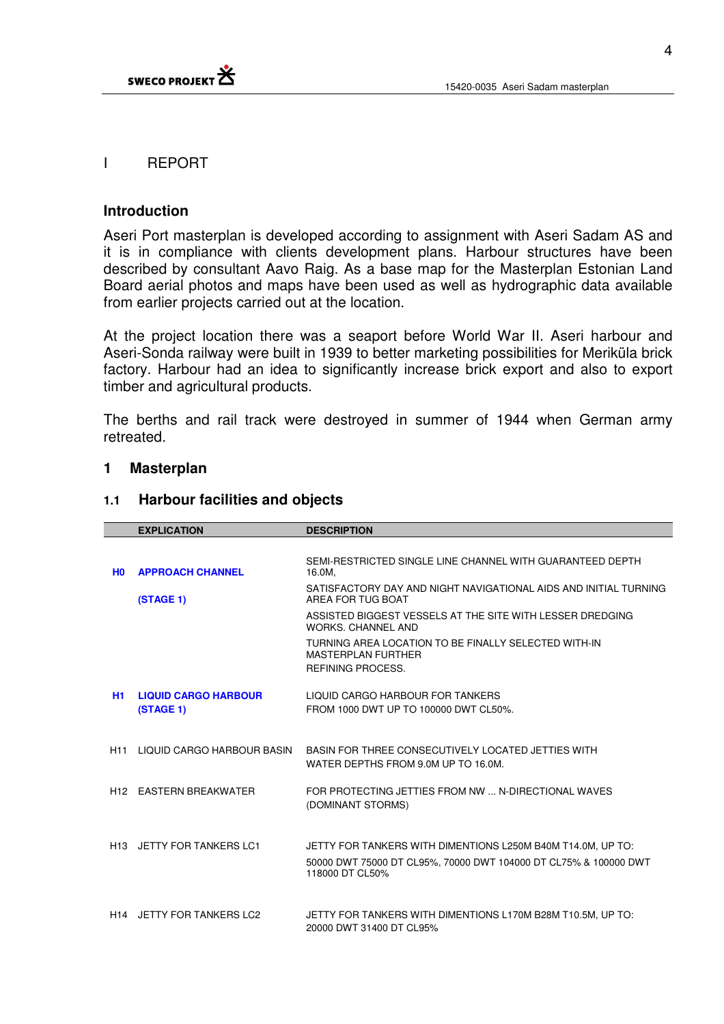

# I REPORT

# **Introduction**

Aseri Port masterplan is developed according to assignment with Aseri Sadam AS and it is in compliance with clients development plans. Harbour structures have been described by consultant Aavo Raig. As a base map for the Masterplan Estonian Land Board aerial photos and maps have been used as well as hydrographic data available from earlier projects carried out at the location.

At the project location there was a seaport before World War II. Aseri harbour and Aseri-Sonda railway were built in 1939 to better marketing possibilities for Meriküla brick factory. Harbour had an idea to significantly increase brick export and also to export timber and agricultural products.

The berths and rail track were destroyed in summer of 1944 when German army retreated.

#### **1 Masterplan**

#### **1.1 Harbour facilities and objects**

|                | <b>EXPLICATION</b>                    | <b>DESCRIPTION</b>                                                                              |
|----------------|---------------------------------------|-------------------------------------------------------------------------------------------------|
|                |                                       |                                                                                                 |
| H <sub>0</sub> | <b>APPROACH CHANNEL</b>               | SEMI-RESTRICTED SINGLE LINE CHANNEL WITH GUARANTEED DEPTH<br>16.0M,                             |
|                | (STAGE 1)                             | SATISFACTORY DAY AND NIGHT NAVIGATIONAL AIDS AND INITIAL TURNING<br>AREA FOR TUG BOAT           |
|                |                                       | ASSISTED BIGGEST VESSELS AT THE SITE WITH LESSER DREDGING<br><b>WORKS, CHANNEL AND</b>          |
|                |                                       | TURNING AREA LOCATION TO BE FINALLY SELECTED WITH-IN<br>MASTERPLAN FURTHER<br>REFINING PROCESS. |
|                |                                       |                                                                                                 |
| H1             | <b>LIQUID CARGO HARBOUR</b>           | LIQUID CARGO HARBOUR FOR TANKERS                                                                |
|                | (STAGE 1)                             | FROM 1000 DWT UP TO 100000 DWT CL50%.                                                           |
|                |                                       |                                                                                                 |
| H11            | LIQUID CARGO HARBOUR BASIN            | BASIN FOR THREE CONSECUTIVELY LOCATED JETTIES WITH                                              |
|                |                                       | WATER DEPTHS FROM 9.0M UP TO 16.0M.                                                             |
|                | H12 EASTERN BREAKWATER                | FOR PROTECTING JETTIES FROM NW  N-DIRECTIONAL WAVES<br>(DOMINANT STORMS)                        |
|                |                                       |                                                                                                 |
|                | H <sub>13</sub> JETTY FOR TANKERS LC1 | JETTY FOR TANKERS WITH DIMENTIONS L250M B40M T14.0M, UP TO:                                     |
|                |                                       | 50000 DWT 75000 DT CL95%, 70000 DWT 104000 DT CL75% & 100000 DWT<br>118000 DT CL50%             |
|                |                                       |                                                                                                 |
|                | H14 JETTY FOR TANKERS LC2             | JETTY FOR TANKERS WITH DIMENTIONS L170M B28M T10.5M, UP TO:                                     |
|                |                                       | 20000 DWT 31400 DT CL95%                                                                        |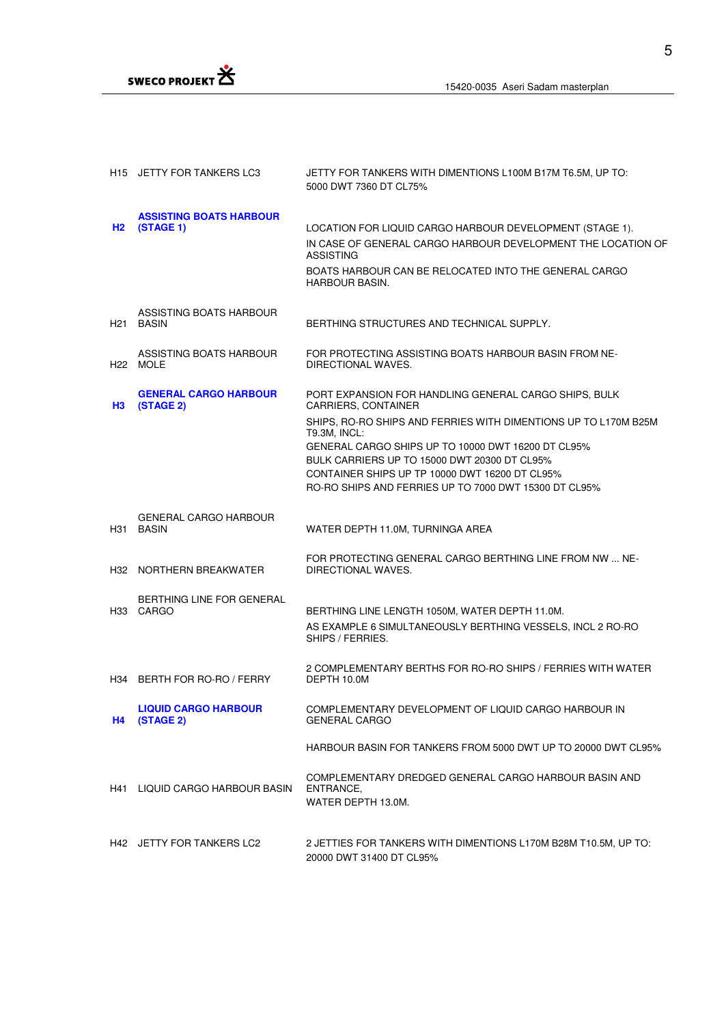

|     | H15 JETTY FOR TANKERS LC3                          | JETTY FOR TANKERS WITH DIMENTIONS L100M B17M T6.5M, UP TO:<br>5000 DWT 7360 DT CL75%                                                                                                                                                                                                                                                                                             |
|-----|----------------------------------------------------|----------------------------------------------------------------------------------------------------------------------------------------------------------------------------------------------------------------------------------------------------------------------------------------------------------------------------------------------------------------------------------|
| H2  | <b>ASSISTING BOATS HARBOUR</b><br>(STAGE 1)        | LOCATION FOR LIQUID CARGO HARBOUR DEVELOPMENT (STAGE 1).<br>IN CASE OF GENERAL CARGO HARBOUR DEVELOPMENT THE LOCATION OF<br><b>ASSISTING</b><br>BOATS HARBOUR CAN BE RELOCATED INTO THE GENERAL CARGO<br><b>HARBOUR BASIN.</b>                                                                                                                                                   |
| H21 | ASSISTING BOATS HARBOUR<br>BASIN                   | BERTHING STRUCTURES AND TECHNICAL SUPPLY.                                                                                                                                                                                                                                                                                                                                        |
|     | ASSISTING BOATS HARBOUR<br>H <sub>22</sub> MOLE    | FOR PROTECTING ASSISTING BOATS HARBOUR BASIN FROM NE-<br>DIRECTIONAL WAVES.                                                                                                                                                                                                                                                                                                      |
| H3  | <b>GENERAL CARGO HARBOUR</b><br>(STAGE 2)          | PORT EXPANSION FOR HANDLING GENERAL CARGO SHIPS, BULK<br>CARRIERS, CONTAINER<br>SHIPS, RO-RO SHIPS AND FERRIES WITH DIMENTIONS UP TO L170M B25M<br>T9.3M, INCL:<br>GENERAL CARGO SHIPS UP TO 10000 DWT 16200 DT CL95%<br>BULK CARRIERS UP TO 15000 DWT 20300 DT CL95%<br>CONTAINER SHIPS UP TP 10000 DWT 16200 DT CL95%<br>RO-RO SHIPS AND FERRIES UP TO 7000 DWT 15300 DT CL95% |
| H31 | <b>GENERAL CARGO HARBOUR</b><br><b>BASIN</b>       | WATER DEPTH 11.0M, TURNINGA AREA                                                                                                                                                                                                                                                                                                                                                 |
|     | H32 NORTHERN BREAKWATER                            | FOR PROTECTING GENERAL CARGO BERTHING LINE FROM NW  NE-<br>DIRECTIONAL WAVES.                                                                                                                                                                                                                                                                                                    |
|     | BERTHING LINE FOR GENERAL<br>H <sub>33</sub> CARGO | BERTHING LINE LENGTH 1050M, WATER DEPTH 11.0M.<br>AS EXAMPLE 6 SIMULTANEOUSLY BERTHING VESSELS, INCL 2 RO-RO<br>SHIPS / FERRIES.                                                                                                                                                                                                                                                 |
|     | H34 BERTH FOR RO-RO / FERRY                        | 2 COMPLEMENTARY BERTHS FOR RO-RO SHIPS / FERRIES WITH WATER<br>DEPTH 10.0M                                                                                                                                                                                                                                                                                                       |
| H4  | <b>LIQUID CARGO HARBOUR</b><br>(STAGE 2)           | COMPLEMENTARY DEVELOPMENT OF LIQUID CARGO HARBOUR IN<br><b>GENERAL CARGO</b>                                                                                                                                                                                                                                                                                                     |
|     |                                                    | HARBOUR BASIN FOR TANKERS FROM 5000 DWT UP TO 20000 DWT CL95%                                                                                                                                                                                                                                                                                                                    |
| H41 | LIQUID CARGO HARBOUR BASIN                         | COMPLEMENTARY DREDGED GENERAL CARGO HARBOUR BASIN AND<br>ENTRANCE.<br>WATER DEPTH 13.0M.                                                                                                                                                                                                                                                                                         |
|     | H42 JETTY FOR TANKERS LC2                          | 2 JETTIES FOR TANKERS WITH DIMENTIONS L170M B28M T10.5M, UP TO:<br>20000 DWT 31400 DT CL95%                                                                                                                                                                                                                                                                                      |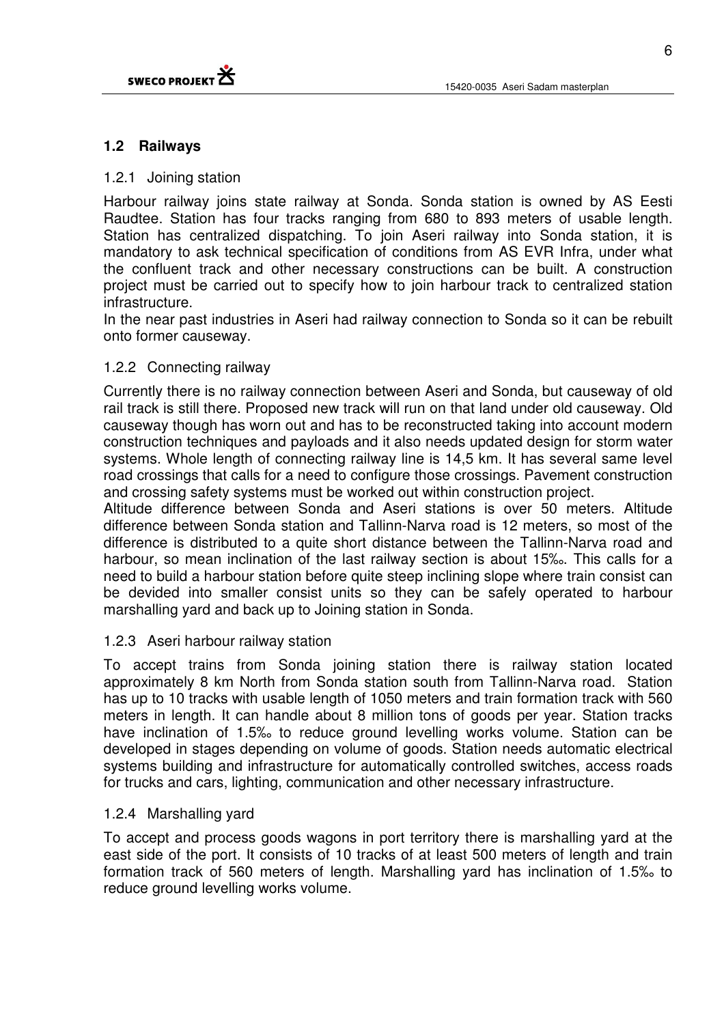

# **1.2 Railways**

### 1.2.1 Joining station

Harbour railway joins state railway at Sonda. Sonda station is owned by AS Eesti Raudtee. Station has four tracks ranging from 680 to 893 meters of usable length. Station has centralized dispatching. To join Aseri railway into Sonda station, it is mandatory to ask technical specification of conditions from AS EVR Infra, under what the confluent track and other necessary constructions can be built. A construction project must be carried out to specify how to join harbour track to centralized station infrastructure.

In the near past industries in Aseri had railway connection to Sonda so it can be rebuilt onto former causeway.

# 1.2.2 Connecting railway

Currently there is no railway connection between Aseri and Sonda, but causeway of old rail track is still there. Proposed new track will run on that land under old causeway. Old causeway though has worn out and has to be reconstructed taking into account modern construction techniques and payloads and it also needs updated design for storm water systems. Whole length of connecting railway line is 14,5 km. It has several same level road crossings that calls for a need to configure those crossings. Pavement construction and crossing safety systems must be worked out within construction project.

Altitude difference between Sonda and Aseri stations is over 50 meters. Altitude difference between Sonda station and Tallinn-Narva road is 12 meters, so most of the difference is distributed to a quite short distance between the Tallinn-Narva road and harbour, so mean inclination of the last railway section is about 15‰. This calls for a need to build a harbour station before quite steep inclining slope where train consist can be devided into smaller consist units so they can be safely operated to harbour marshalling yard and back up to Joining station in Sonda.

# 1.2.3 Aseri harbour railway station

To accept trains from Sonda joining station there is railway station located approximately 8 km North from Sonda station south from Tallinn-Narva road. Station has up to 10 tracks with usable length of 1050 meters and train formation track with 560 meters in length. It can handle about 8 million tons of goods per year. Station tracks have inclination of 1.5‰ to reduce ground levelling works volume. Station can be developed in stages depending on volume of goods. Station needs automatic electrical systems building and infrastructure for automatically controlled switches, access roads for trucks and cars, lighting, communication and other necessary infrastructure.

# 1.2.4 Marshalling yard

To accept and process goods wagons in port territory there is marshalling yard at the east side of the port. It consists of 10 tracks of at least 500 meters of length and train formation track of 560 meters of length. Marshalling yard has inclination of 1.5‰ to reduce ground levelling works volume.